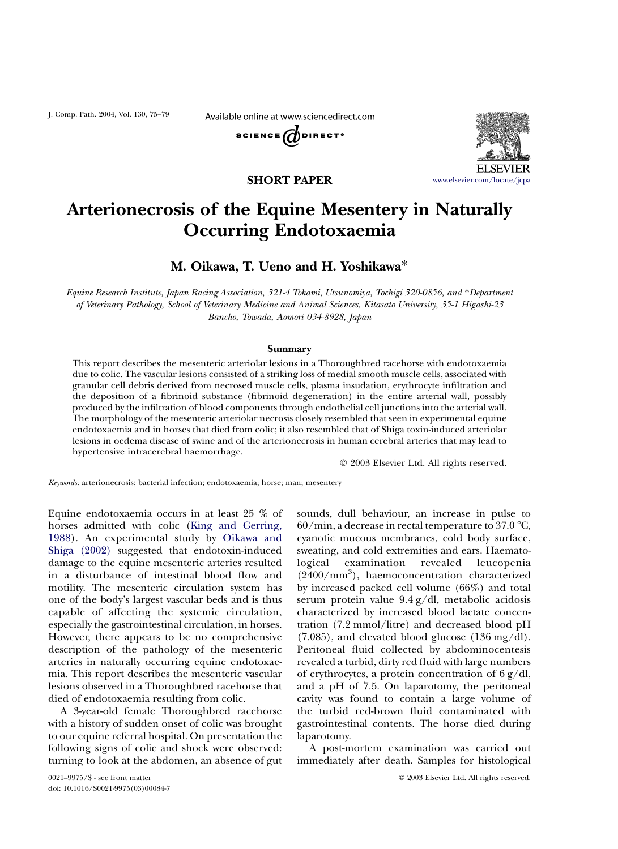J. Comp. Path. 2004, Vol. 130, 75–79

Available online at www.sciencedirect.com





## SHORT PAPER

# Arterionecrosis of the Equine Mesentery in Naturally Occurring Endotoxaemia

## M. Oikawa, T. Ueno and H. Yoshikawa\*

Equine Research Institute, Japan Racing Association, 321-4 Tokami, Utsunomiya, Tochigi 320-0856, and \*Department of Veterinary Pathology, School of Veterinary Medicine and Animal Sciences, Kitasato University, 35-1 Higashi-23 Bancho, Towada, Aomori 034-8928, Japan

#### **Summary**

This report describes the mesenteric arteriolar lesions in a Thoroughbred racehorse with endotoxaemia due to colic. The vascular lesions consisted of a striking loss of medial smooth muscle cells, associated with granular cell debris derived from necrosed muscle cells, plasma insudation, erythrocyte infiltration and the deposition of a fibrinoid substance (fibrinoid degeneration) in the entire arterial wall, possibly produced by the infiltration of blood components through endothelial cell junctions into the arterial wall. The morphology of the mesenteric arteriolar necrosis closely resembled that seen in experimental equine endotoxaemia and in horses that died from colic; it also resembled that of Shiga toxin-induced arteriolar lesions in oedema disease of swine and of the arterionecrosis in human cerebral arteries that may lead to hypertensive intracerebral haemorrhage.

 $©$  2003 Elsevier Ltd. All rights reserved.

Keywords: arterionecrosis; bacterial infection; endotoxaemia; horse; man; mesentery

Equine endotoxaemia occurs in at least 25 % of horses admitted with colic ([King and Gerring,](#page-4-0) [1988](#page-4-0)). An experimental study by [Oikawa and](#page-4-0) [Shiga \(2002\)](#page-4-0) suggested that endotoxin-induced damage to the equine mesenteric arteries resulted in a disturbance of intestinal blood flow and motility. The mesenteric circulation system has one of the body's largest vascular beds and is thus capable of affecting the systemic circulation, especially the gastrointestinal circulation, in horses. However, there appears to be no comprehensive description of the pathology of the mesenteric arteries in naturally occurring equine endotoxaemia. This report describes the mesenteric vascular lesions observed in a Thoroughbred racehorse that died of endotoxaemia resulting from colic.

A 3-year-old female Thoroughbred racehorse with a history of sudden onset of colic was brought to our equine referral hospital. On presentation the following signs of colic and shock were observed: turning to look at the abdomen, an absence of gut sounds, dull behaviour, an increase in pulse to  $60/\text{min}$ , a decrease in rectal temperature to 37.0 °C, cyanotic mucous membranes, cold body surface, sweating, and cold extremities and ears. Haematological examination revealed leucopenia (2400/mm<sup>3</sup> ), haemoconcentration characterized by increased packed cell volume (66%) and total serum protein value 9.4 g/dl, metabolic acidosis characterized by increased blood lactate concentration (7.2 mmol/litre) and decreased blood pH  $(7.085)$ , and elevated blood glucose  $(136 \text{ mg}/\text{dl})$ . Peritoneal fluid collected by abdominocentesis revealed a turbid, dirty red fluid with large numbers of erythrocytes, a protein concentration of 6 g/dl, and a pH of 7.5. On laparotomy, the peritoneal cavity was found to contain a large volume of the turbid red-brown fluid contaminated with gastrointestinal contents. The horse died during laparotomy.

A post-mortem examination was carried out immediately after death. Samples for histological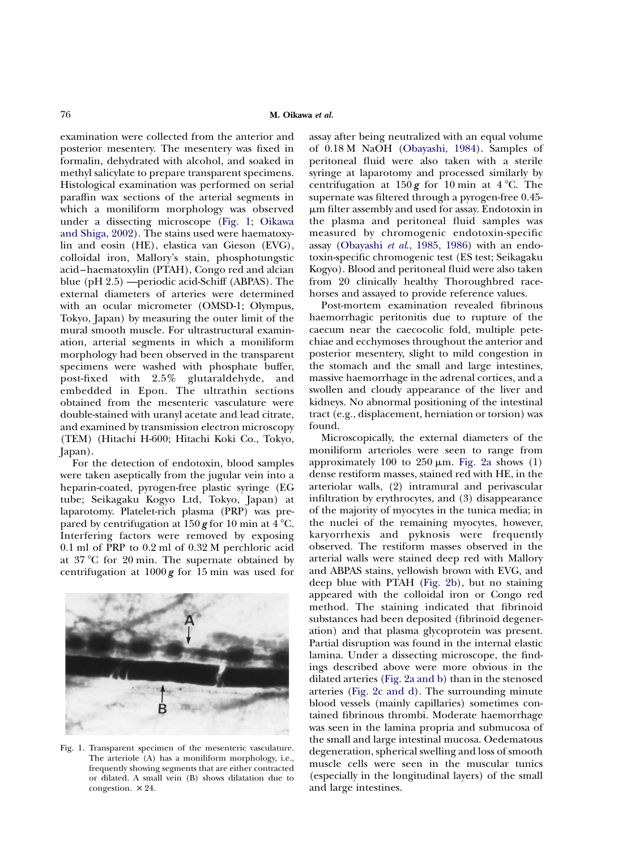examination were collected from the anterior and posterior mesentery. The mesentery was fixed in formalin, dehydrated with alcohol, and soaked in methyl salicylate to prepare transparent specimens. Histological examination was performed on serial paraffin wax sections of the arterial segments in which a moniliform morphology was observed under a dissecting microscope (Fig. 1; [Oikawa](#page-4-0) [and Shiga, 2002](#page-4-0)). The stains used were haematoxylin and eosin (HE), elastica van Gieson (EVG), colloidal iron, Mallory's stain, phosphotungstic acid–haematoxylin (PTAH), Congo red and alcian blue (pH 2.5) —periodic acid-Schiff (ABPAS). The external diameters of arteries were determined with an ocular micrometer (OMSD-1; Olympus, Tokyo, Japan) by measuring the outer limit of the mural smooth muscle. For ultrastructural examination, arterial segments in which a moniliform morphology had been observed in the transparent specimens were washed with phosphate buffer, post-fixed with 2.5% glutaraldehyde, and embedded in Epon. The ultrathin sections obtained from the mesenteric vasculature were double-stained with uranyl acetate and lead citrate, and examined by transmission electron microscopy (TEM) (Hitachi H-600; Hitachi Koki Co., Tokyo, Japan).

For the detection of endotoxin, blood samples were taken aseptically from the jugular vein into a heparin-coated, pyrogen-free plastic syringe (EG tube; Seikagaku Kogyo Ltd, Tokyo, Japan) at laparotomy. Platelet-rich plasma (PRP) was prepared by centrifugation at 150 g for 10 min at  $4^{\circ}$ C. Interfering factors were removed by exposing 0.1 ml of PRP to 0.2 ml of 0.32 M perchloric acid at  $37^{\circ}$ C for 20 min. The supernate obtained by centrifugation at  $1000\,\text{g}$  for 15 min was used for



Fig. 1. Transparent specimen of the mesenteric vasculature. The arteriole (A) has a moniliform morphology, i.e., frequently showing segments that are either contracted or dilated. A small vein (B) shows dilatation due to congestion.  $\times$  24.

assay after being neutralized with an equal volume of 0.18 M NaOH [\(Obayashi, 1984\)](#page-4-0). Samples of peritoneal fluid were also taken with a sterile syringe at laparotomy and processed similarly by centrifugation at  $150 g$  for 10 min at 4 °C. The supernate was filtered through a pyrogen-free 0.45 mm filter assembly and used for assay. Endotoxin in the plasma and peritoneal fluid samples was measured by chromogenic endotoxin-specific assay (Obayashi et al[., 1985, 1986](#page-4-0)) with an endotoxin-specific chromogenic test (ES test; Seikagaku Kogyo). Blood and peritoneal fluid were also taken from 20 clinically healthy Thoroughbred racehorses and assayed to provide reference values.

Post-mortem examination revealed fibrinous haemorrhagic peritonitis due to rupture of the caecum near the caecocolic fold, multiple petechiae and ecchymoses throughout the anterior and posterior mesentery, slight to mild congestion in the stomach and the small and large intestines, massive haemorrhage in the adrenal cortices, and a swollen and cloudy appearance of the liver and kidneys. No abnormal positioning of the intestinal tract (e.g., displacement, herniation or torsion) was found.

Microscopically, the external diameters of the moniliform arterioles were seen to range from approximately 100 to  $250 \mu m$ . [Fig. 2a](#page-2-0) shows (1) dense restiform masses, stained red with HE, in the arteriolar walls, (2) intramural and perivascular infiltration by erythrocytes, and (3) disappearance of the majority of myocytes in the tunica media; in the nuclei of the remaining myocytes, however, karyorrhexis and pyknosis were frequently observed. The restiform masses observed in the arterial walls were stained deep red with Mallory and ABPAS stains, yellowish brown with EVG, and deep blue with PTAH ([Fig. 2b\)](#page-2-0), but no staining appeared with the colloidal iron or Congo red method. The staining indicated that fibrinoid substances had been deposited (fibrinoid degeneration) and that plasma glycoprotein was present. Partial disruption was found in the internal elastic lamina. Under a dissecting microscope, the findings described above were more obvious in the dilated arteries [\(Fig. 2a and b\)](#page-2-0) than in the stenosed arteries ([Fig. 2c and d\)](#page-2-0). The surrounding minute blood vessels (mainly capillaries) sometimes contained fibrinous thrombi. Moderate haemorrhage was seen in the lamina propria and submucosa of the small and large intestinal mucosa. Oedematous degeneration, spherical swelling and loss of smooth muscle cells were seen in the muscular tunics (especially in the longitudinal layers) of the small and large intestines.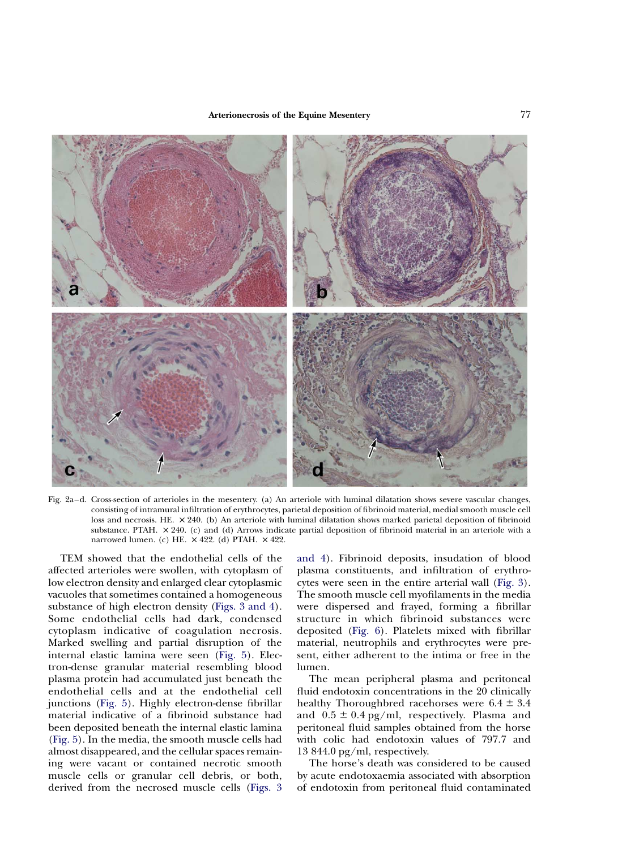<span id="page-2-0"></span>

Fig. 2a–d. Cross-section of arterioles in the mesentery. (a) An arteriole with luminal dilatation shows severe vascular changes, consisting of intramural infiltration of erythrocytes, parietal deposition of fibrinoid material, medial smooth muscle cell loss and necrosis. HE.  $\times$  240. (b) An arteriole with luminal dilatation shows marked parietal deposition of fibrinoid substance. PTAH.  $\times$  240. (c) and (d) Arrows indicate partial deposition of fibrinoid material in an arteriole with a narrowed lumen. (c) HE.  $\times$  422. (d) PTAH.  $\times$  422.

TEM showed that the endothelial cells of the affected arterioles were swollen, with cytoplasm of low electron density and enlarged clear cytoplasmic vacuoles that sometimes contained a homogeneous substance of high electron density [\(Figs. 3 and 4](#page-3-0)). Some endothelial cells had dark, condensed cytoplasm indicative of coagulation necrosis. Marked swelling and partial disruption of the internal elastic lamina were seen [\(Fig. 5\)](#page-3-0). Electron-dense granular material resembling blood plasma protein had accumulated just beneath the endothelial cells and at the endothelial cell junctions [\(Fig. 5](#page-3-0)). Highly electron-dense fibrillar material indicative of a fibrinoid substance had been deposited beneath the internal elastic lamina [\(Fig. 5](#page-3-0)). In the media, the smooth muscle cells had almost disappeared, and the cellular spaces remaining were vacant or contained necrotic smooth muscle cells or granular cell debris, or both, derived from the necrosed muscle cells [\(Figs. 3](#page-3-0)

[and 4\)](#page-3-0). Fibrinoid deposits, insudation of blood plasma constituents, and infiltration of erythrocytes were seen in the entire arterial wall ([Fig. 3\)](#page-3-0). The smooth muscle cell myofilaments in the media were dispersed and frayed, forming a fibrillar structure in which fibrinoid substances were deposited [\(Fig. 6\)](#page-3-0). Platelets mixed with fibrillar material, neutrophils and erythrocytes were present, either adherent to the intima or free in the lumen.

The mean peripheral plasma and peritoneal fluid endotoxin concentrations in the 20 clinically healthy Thoroughbred racehorses were  $6.4 \pm 3.4$ and  $0.5 \pm 0.4$  pg/ml, respectively. Plasma and peritoneal fluid samples obtained from the horse with colic had endotoxin values of 797.7 and 13 844.0 pg/ml, respectively.

The horse's death was considered to be caused by acute endotoxaemia associated with absorption of endotoxin from peritoneal fluid contaminated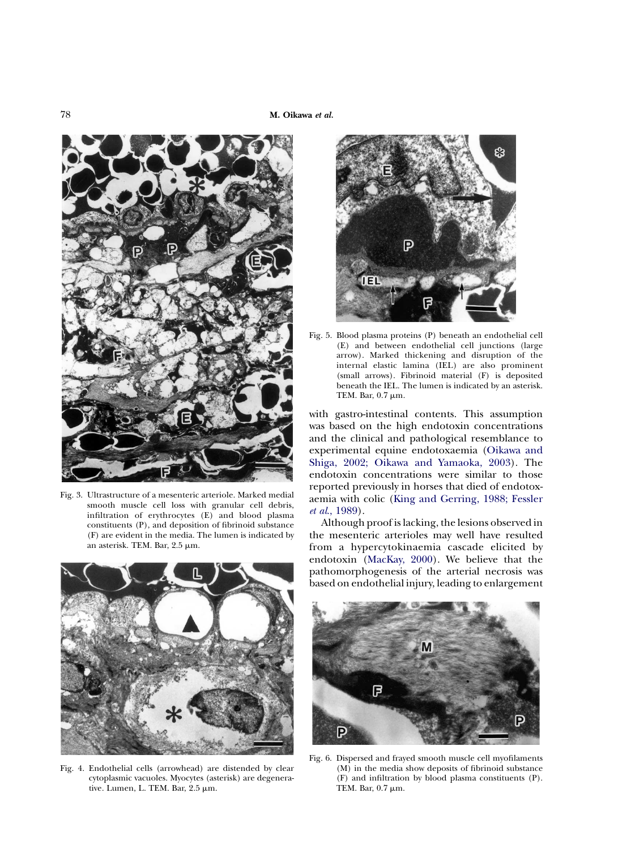<span id="page-3-0"></span>

Fig. 3. Ultrastructure of a mesenteric arteriole. Marked medial smooth muscle cell loss with granular cell debris, infiltration of erythrocytes (E) and blood plasma constituents (P), and deposition of fibrinoid substance (F) are evident in the media. The lumen is indicated by an asterisk. TEM. Bar,  $2.5 \mu m$ .



Fig. 4. Endothelial cells (arrowhead) are distended by clear cytoplasmic vacuoles. Myocytes (asterisk) are degenerative. Lumen, L. TEM. Bar, 2.5 µm.



Fig. 5. Blood plasma proteins (P) beneath an endothelial cell (E) and between endothelial cell junctions (large arrow). Marked thickening and disruption of the internal elastic lamina (IEL) are also prominent (small arrows). Fibrinoid material (F) is deposited beneath the IEL. The lumen is indicated by an asterisk. TEM. Bar,  $0.7 \mu m$ .

with gastro-intestinal contents. This assumption was based on the high endotoxin concentrations and the clinical and pathological resemblance to experimental equine endotoxaemia [\(Oikawa and](#page-4-0) [Shiga, 2002; Oikawa and Yamaoka, 2003](#page-4-0)). The endotoxin concentrations were similar to those reported previously in horses that died of endotoxaemia with colic [\(King and Gerring, 1988; Fessler](#page-4-0) et al[., 1989](#page-4-0)).

Although proof is lacking, the lesions observed in the mesenteric arterioles may well have resulted from a hypercytokinaemia cascade elicited by endotoxin [\(MacKay, 2000\)](#page-4-0). We believe that the pathomorphogenesis of the arterial necrosis was based on endothelial injury, leading to enlargement



Fig. 6. Dispersed and frayed smooth muscle cell myofilaments (M) in the media show deposits of fibrinoid substance (F) and infiltration by blood plasma constituents (P). TEM. Bar,  $0.7 \mu m$ .